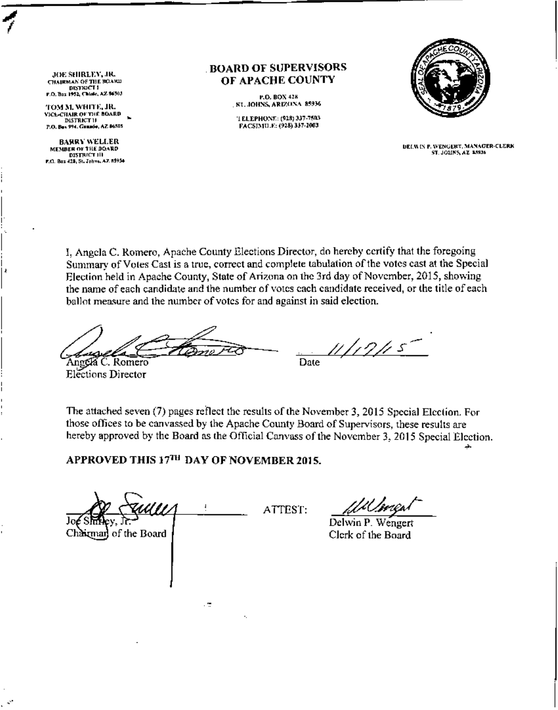JOE SHIRLEY, JR. **CHAIRMAN OF THE BOARD** F.O. Box 1952, Chiale, AZ \$6503

1

TOM M. WHITE, JR. VICL-CHAIR OF THE BOARD HAIR OF THE BUARD ~ p,o, ••••••. *Co ••••• , "' •••• '"*

BAHRY WELLER<br>"MEMBER OF THE DOARD"<br>"DISTRICT 311<br>P.O. Box 425, St. Johns, AZ, N934

#### BOARD OF SUPERVISORS OF APACHE COUNTY

P.O. BOX 428 SL, JOHNS, ARIZONA 85936

'I ELEPHONE: (928) 337-7503<br>FACSIMU.E: (928) 337-2003



DELM IN P. WENGERT, MANAGER-CLERK<br>"ST. JOUNS, AZ-A5936

I, Angela C. Romero, Apache County Elections Director, do hereby certify that the foregoing Summary of Votes Cast is a true, correct and complete tabulation of the votes cast at the Special Election held in Apache County, State of Arizona on the 3rd day of November, 2015, showing the name of each candidate and the number of votes each candidate received, or the title of each ballot measure and the number of votes for and against in said election.

*~g?;;£&>* u 1 i 9 i i 5 Date

Anggla C. Romero Elections Director

The attached seven (7) pages reflect the results of the November 3, 2015 Special Election. For those offices to be canvassed by the Apache County Board of Supervisors, these results are hereby approved by the Board as the Official Canvass of the November 3, 2015 Special Election.

APPROVED THIS 17<sup>TH</sup> DAY OF NOVEMBER 2015.

ATTEST:  $\frac{d\mathcal{U}}{d\mathbf{v}}$ Chairman of the Board

.Н

Delwin P. Wengert Clerk of the Board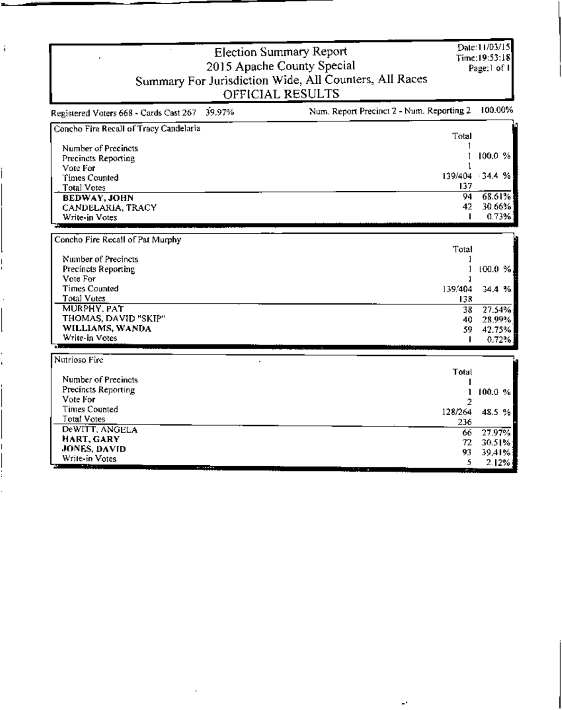| OFFICIAL RESULTS                                                                              |                | Page:1 of 1     |
|-----------------------------------------------------------------------------------------------|----------------|-----------------|
| Num. Report Precinct 2 - Num. Reporting 2<br>39.97%<br>Registered Voters 668 - Cards Cast 267 |                | 100.00%         |
| Concho Fire Recall of Tracy Candelaria                                                        | Total          |                 |
| Number of Precincts                                                                           |                |                 |
| Precincts Reporting                                                                           |                | 100.0%          |
| Vote For                                                                                      |                |                 |
| Times Counted                                                                                 |                | 139/404 34.4 %  |
| <b>Total Votes</b>                                                                            | 137            |                 |
| <b>BEDWAY, JOHN</b>                                                                           | 94             | 68.61%          |
| CANDELARIA, TRACY<br>Write-in Votes                                                           | 42<br>п        | 30.66%<br>0.73% |
|                                                                                               |                |                 |
| Concho Fire Recall of Pat Murphy                                                              |                |                 |
|                                                                                               | Total          |                 |
| Number of Precincts                                                                           |                |                 |
| Precincts Reporting                                                                           |                | 100.0%          |
| Vote For<br><b>Times Counted</b>                                                              |                |                 |
| Total Votes                                                                                   | 139/404<br>138 | 34.4 %          |
| MURPHY, PAT                                                                                   | 38.            | 27.54%          |
| THOMAS, DAVID "SKIP"                                                                          | 40.            | 28.99%          |
| WILLIAMS, WANDA                                                                               | 59             | 42.75%          |
| Write-in Votes                                                                                |                | 0.72%           |
| Nutrioso Fire                                                                                 |                |                 |
|                                                                                               | Total          |                 |
| Number of Precincts                                                                           |                |                 |
| Precincts Reporting                                                                           |                | 100.0%          |
| Vote For                                                                                      | 2              |                 |
| <b>Times Counted</b>                                                                          | 128/264        | 48.5 %          |
| Total Votes                                                                                   | 236            |                 |
| DeWITT, ANGELA<br>HART, GARY                                                                  | 66             | 27.97%          |
| JONES, DAVID                                                                                  | 72.            | 30.51%          |
| Write-in Votes                                                                                | 93<br>5.       | 39.41%<br>2.12% |

 $\cdot$ 

 $\ddot{\phantom{0}}$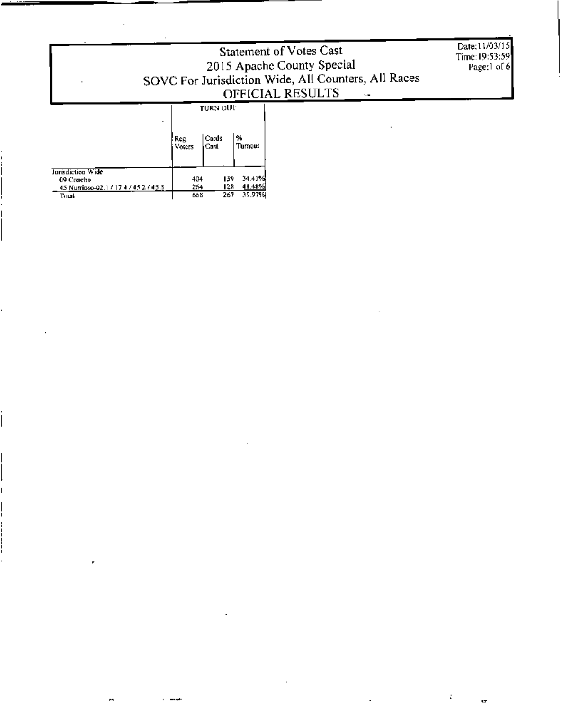## Statement of Votes Cast 2015 Apache County Special<br>SOVC For Jurisdiction Wide, All Counters, All Races<br>OFFICIAL RESULTS

 $\overline{1}$ 

Date: 11/03/15 Time: 19:53:59<br>Page:1 of 6

t

œ

### **TURN OUT**

|                                       | Reg.<br>Voters | Cards<br>Cast | %<br>Turnout |
|---------------------------------------|----------------|---------------|--------------|
| Jurisdiction Wide                     |                |               |              |
| 09 Concho                             | 404            | 139           | 34.41%       |
| 45 Nutrioso-02.1 / 17 4 / 45 2 / 45.3 | 264            | 128           | 48.48%       |
| Tnral                                 | 663            | 267           | 39.97%       |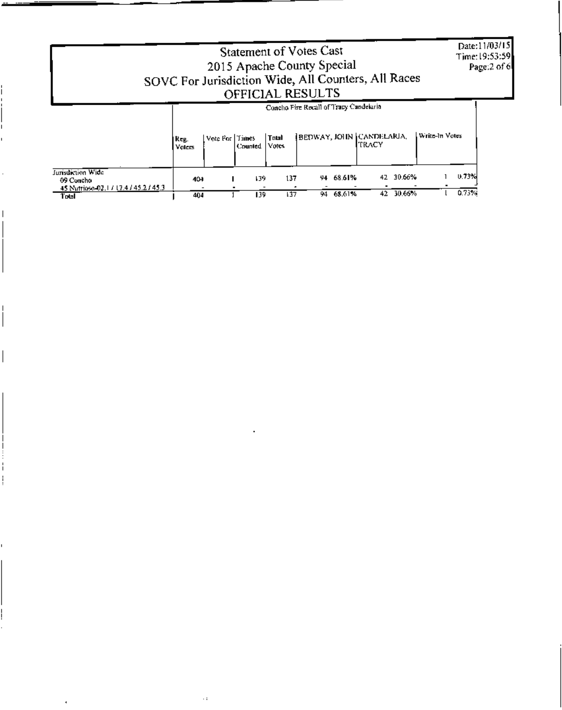|                                                                                 | SOVC For Jurisdiction Wide, All Counters, All Races |             | Statement of Votes Cast<br>2015 Apache County Special<br>OFFICIAL RESULTS |                        |                                   |                     |                |                | Date:11/03/15<br>Time: 19:53:59<br>Page:2 of 6 |
|---------------------------------------------------------------------------------|-----------------------------------------------------|-------------|---------------------------------------------------------------------------|------------------------|-----------------------------------|---------------------|----------------|----------------|------------------------------------------------|
|                                                                                 | Vote For Times<br>  Reg.<br>Voiers                  | Counted     | Concho Fire Recall of Tracy Candelaria<br>Total<br>Votes                  |                        | BEDWAY, JOHN CANDELARIA,<br>TRACY |                     | Write-In Votes |                |                                                |
| Jurisdiction Wide<br>09 Concho<br>45 Nutrieso-02.17 17.4 / 45.2 / 45.3<br>Total | 404<br>404                                          | 139.<br>139 | 137<br>137                                                                | 94 68.61%<br>94 68,61% | 42.                               | 42 30.66%<br>30.66% |                | 0.73%<br>0.73% |                                                |

 $\ddot{\phantom{1}}$  :

I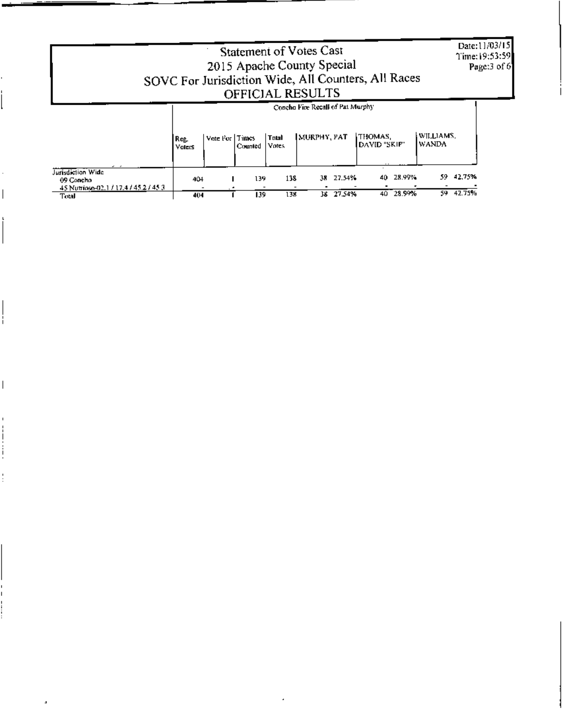|                                                                                  |                |                                             | <b>Statement of Votes Cast</b><br>2015 Apache County Special<br>SOVC For Jurisdiction Wide, All Counters, All Races<br>OFFICIAL RESULTS |                            | Date:11/03/15<br>Time: 19:53:59<br>Page:3 of 6 |
|----------------------------------------------------------------------------------|----------------|---------------------------------------------|-----------------------------------------------------------------------------------------------------------------------------------------|----------------------------|------------------------------------------------|
|                                                                                  | Reg.<br>Volces | Vote For Times<br>Total<br>Votes<br>Counted | Concho Fire Recall of Pat Murphy<br>MURPHY, PAT                                                                                         | THOMAS.<br>DAVID "SKIP"    | WILLIAMS.<br><b>WANDA</b>                      |
| Jurisdiction Wide<br>09 Concho<br>45 Nutrioso-02.1 / 17.4 / 45.2 / 45.3<br>Total | 404<br>404     | 139.<br>139                                 | 27.54%<br>138<br>38.<br>38 27.54%<br>138                                                                                                | 28.99%<br>40.<br>40 28.99% | 42,75%<br>59.<br>59 42.75%                     |

ä,

 $\bar{z}$ 

 $\overline{\phantom{a}}$ 

ł

ł

 $\overline{\phantom{a}}$ 

 $\bar{1}$ 

 $\frac{1}{2}$ 

 $\vdots$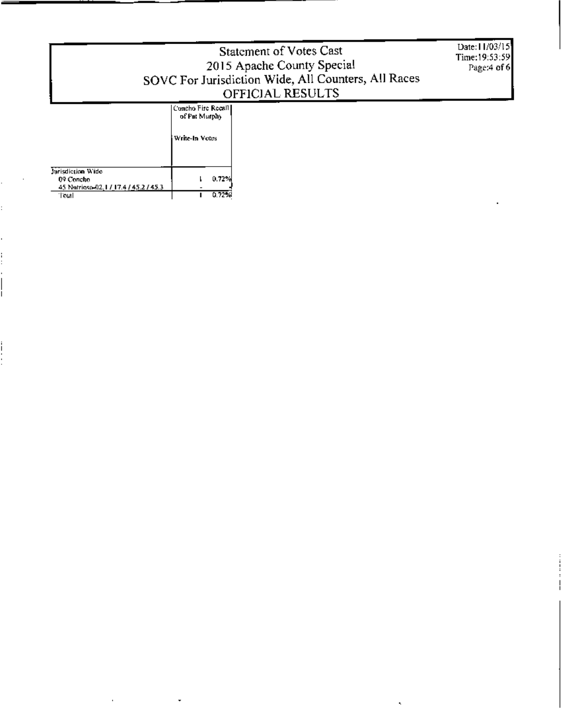# Statement of Votes Cast 2015 Apache County Special<br>SOVC For Jurisdiction Wide, All Counters, All Races<br>OFFICIAL RESULTS

Date: 11/03/15 Time: 19:53:59 Page:4 of 6

### Concho Fire Recall

|                                      | i Write-In Votes |       |
|--------------------------------------|------------------|-------|
| Jurisdiction Wide<br>09 Concho       |                  | 0.72% |
| 45 Notrioso-02, LL17.4 / 45.2 / 45.3 |                  |       |
| 'Total                               |                  | 0.72% |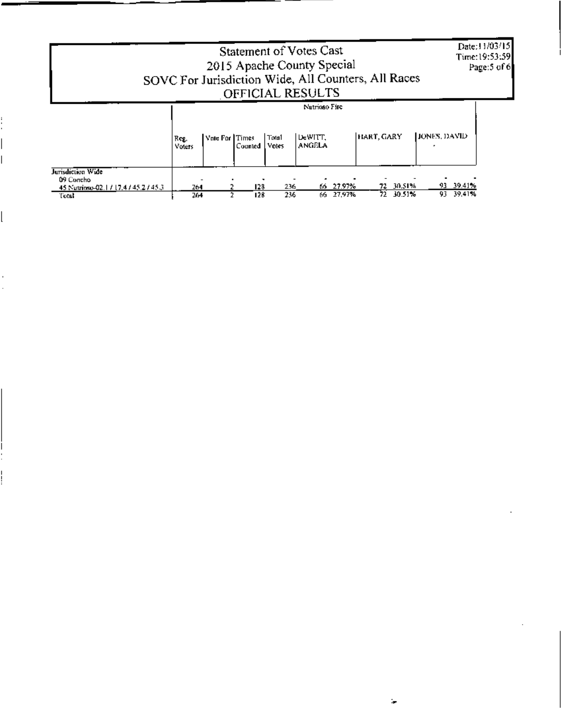|                                                                               |                |                       |            |                  | Statement of Votes Cast<br>2015 Apache County Special<br>SOVC For Jurisdiction Wide, All Counters, All Races<br>OFFICIAL RESULTS |                  |            |                  |                            | Date:11/03/15<br>Time:19:53:59<br>Page:5 of 6 |
|-------------------------------------------------------------------------------|----------------|-----------------------|------------|------------------|----------------------------------------------------------------------------------------------------------------------------------|------------------|------------|------------------|----------------------------|-----------------------------------------------|
|                                                                               | Reg.<br>Voters | Vote For <i>Times</i> | Counted    | l Total<br>Votes | Nutrioso Fire<br>DeWITT.<br>ANGELA                                                                                               |                  | HART, GARY |                  | <b>HONES, DAVID</b>        |                                               |
| Jurisdiction Wide<br>09 Concho<br>45 Nutripso-02.17 17.47 45.27 45.3<br>Total | 264<br>264     |                       | 128<br>128 | 236<br>236       | 66.<br>66.                                                                                                                       | 27.97%<br>27.97% | 72.<br>72  | 30.51%<br>30.51% | 93 39.41%<br>39,41%<br>93. |                                               |